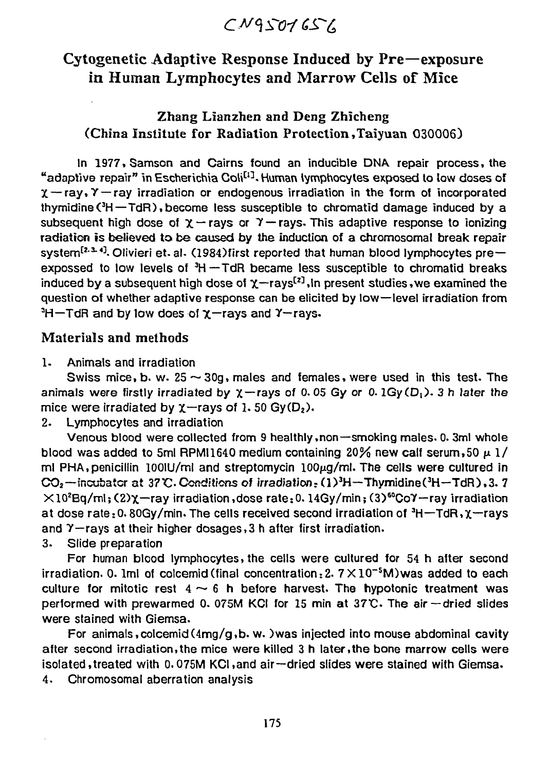$CNGST07657$ 

# Cytogenetic Adaptive Response Induced by Pre—exposure in Human Lymphocytes and Marrow Cells of Mice

## Zhang Lianzhen and Deng Zhicheng (China Institute for Radiation Protection ,Taiyuan 030006)

In 1977. Samson and Cairns found an inducible DNA repair process, the "adaptive repair" in Escherichia Coli<sup>[1]</sup>. Human lymphocytes exposed to low doses of  $\chi$  - ray,  $\gamma$  - ray irradiation or endogenous irradiation in the form of incorporated thymidine  $(^{3}H$  – TdR), become less susceptible to chromatid damage induced by a subsequent high dose of  $\chi$  -rays or  $\gamma$  -rays. This adaptive response to ionizing radiation is believed to be caused by the induction of a chromosomal break repair system<sup>[2.3.4]</sup>. Olivieri et. al. (1984)first reported that human blood lymphocytes preexpossed to low levels of  $3H - TdR$  became less susceptible to chromatid breaks induced by a subsequent high dose of  $\chi$ -rays<sup>[2]</sup>, in present studies, we examined the question of whether adaptive response can be elicited by low—level irradiation from  $H$ –TdR and by low does of  $\chi$ –rays and  $\gamma$ –rays.

#### Materials and methods

1. Animals and irradiation

Swiss mice, b. w.  $25 \sim 30g$ , males and females, were used in this test. The animals were firstly irradiated by  $\chi$ -rays of 0.05 Gy or 0.1Gy(D<sub>1</sub>). 3 h later the mice were irradiated by  $\chi$ -rays of 1.50 Gy(D<sub>2</sub>).

2. Lymphocytes and irradiation

Venous blood were collected from 9 healthly ,non—smoking males. 0.3ml whole blood was added to 5ml RPMI1640 medium containing 20% new calf serum, 50  $\mu$  1/ ml PHA, penicillin 100IU/ml and streptomycin 100 $\mu$ g/ml. The cells were cultured in  $CO<sub>2</sub>$ —incubator at 37°C. Conditions of irradiation; (1)<sup>3</sup>H—Thymidine(<sup>3</sup>H—TdR),3. 7  $\times10^{2}$ Bq/ml;(2) $\chi$ —ray irradiation,dose rate:0. 14Gy/min; (3)<sup>60</sup>Co $\gamma$ —ray irradiation at dose rate: 0. 80Gy/min. The cells received second irradiation of  $3H+TdR$ ,  $\chi$ -rays and 7—rays at their higher dosages,3 h after first irradiation.

3. Slide preparation

For human blood lymphocytes, the cells were cultured tor 54 h after second irradiation. 0. 1ml of colcemid (final concentration:  $2.7\times10^{-5}$  M) was added to each culture for mitotic rest  $4 \sim 6$  h before harvest. The hypotonic treatment was performed with prewarmed 0. 075M KCI for 15 min at  $37C$ . The air -dried slides were stained with Giemsa.

For animals, colcemid  $(4mg/q, b, w. )$  was injected into mouse abdominal cavity after second irradiation,the mice were killed 3 h later,the bone marrow cells were isolated,treated with 0.075M KCI,and air—dried slides were stained with Giemsa. 4. Chromosomal aberration analysis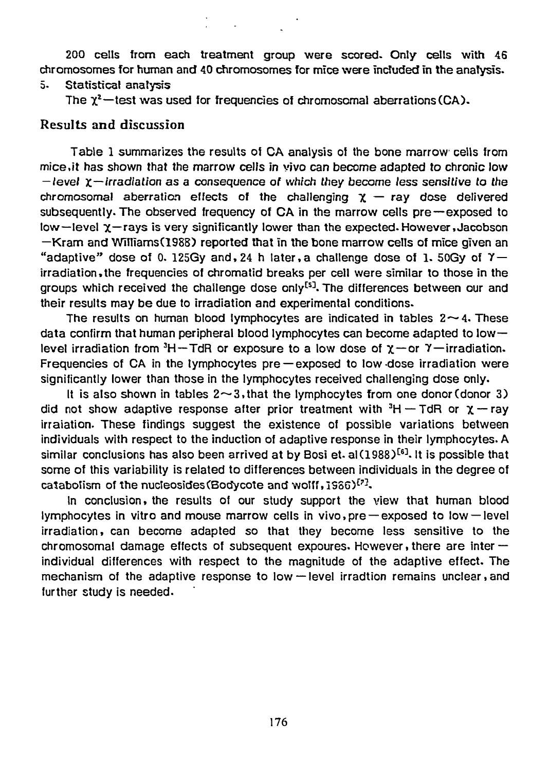200 cells from each treatment group were scored. Only cells with 46 chromosomes for human and 40 chromosomes for mice were included in the analysis.

### 5. Statistical analysis

The  $\chi^2$ —test was used for frequencies of chromosomal aberrations (CA).

#### Results and discussion

Table 1 summarizes the results of CA analysis of the bone marrow cells from [mice.it h](http://mice.it)as shown that the marrow cells in vivo can become adapted to chronic low  $-$  level  $\chi$  - irradiation as a consequence of which they become less sensitive to the chromosomal aberration effects of the challenging  $x - ray$  dose delivered subsequently. The observed frequency of CA in the marrow cells pre—exposed to low—level  $\chi$ —rays is very significantly lower than the expected. However, Jacobson  $-Kram$  and Williams(1988) reported that in the bone marrow cells of mice given an "adaptive" dose of 0. 125Gy and, 24 h later, a challenge dose of 1. 50Gy of  $\gamma$  irradiation,the frequencies of chromatid breaks per cell were similar to those in the groups which received the chailenge dose only<sup>[5]</sup>. The differences between our and their results may be due to irradiation and experimental conditions.

The results on human blood lymphocytes are indicated in tables  $2 \sim 4$ . These data confirm that human peripheral blood lymphocytes can become adapted to low  $$ level irradiation from  $3H$ -TdR or exposure to a low dose of  $\chi$ -or  $\gamma$ -irradiation. Frequencies of CA in the lymphocytes pre —exposed to low-dose irradiation were significantly lower than those in the lymphocytes received challenging dose only.

It is also shown in tables  $2 \sim 3$ , that the lymphocytes from one donor (donor 3) did not show adaptive response after prior treatment with  ${}^{3}H$  – TdR or  $\chi$  – ray irraiation- These findings suggest the existence of possible variations between individuals with respect to the induction of adaptive response in their lymphocytes. A similar conclusions has also been arrived at by Bosi et. al(1988)<sup>[6]</sup>. It is possible that some of this variability is related to differences between individuals in the degree of catabolism of the nucleosides (Bodycote and wolff,  $1986)^{\{2\}}$ ,

In conclusion, the results of our study support the view that human blood lymphocytes in vitro and mouse marrow cells in vivo,pre —exposed to low —level irradiation, can become adapted so that they become less sensitive to the chromosomal damage effects of subsequent expoures. However, there are inter individual differences with respect to the magnitude of the adaptive effect. The mechanism of the adaptive response to low -level irradtion remains unclear, and further study is needed.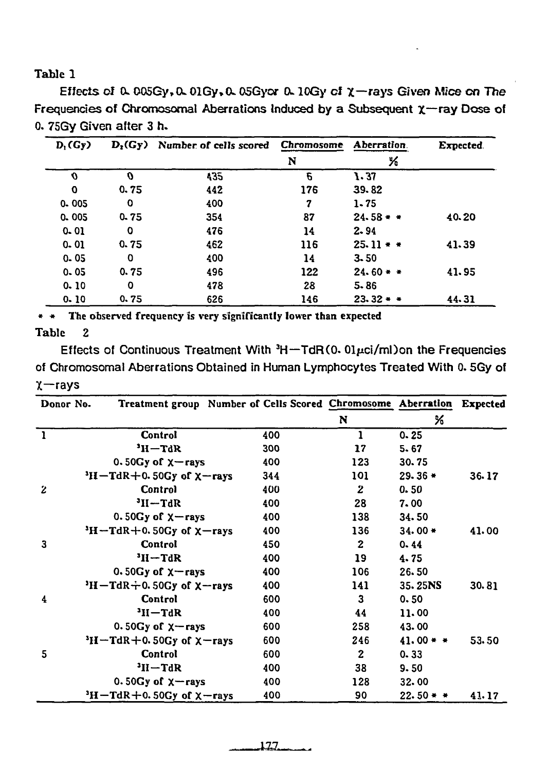Table 1

Effects of  $0.005Cy$ ,  $0.01Cy$ ,  $0.05Cy$  or  $0.10Cy$  of  $\chi$ -rays Given Mice on The Frequencies of Chromosomal Aberrations Induced by a Subsequent  $\chi$ -ray Dose of 0. 75Gy Given after 3 h.

| $D_1(Gy)$   |      | $D_2(Gy)$ Number of cells scored | Chromosome | Aberration. | Expected. |
|-------------|------|----------------------------------|------------|-------------|-----------|
|             |      |                                  | N          | %           |           |
| O           | o    | 435                              | 6          | 1.37        |           |
| $\mathbf o$ | 0.75 | 442                              | 176        | 39.82       |           |
| $0 - 005$   | 0    | 400                              | 7          | $1 - 75$    |           |
| 0.005       | 0.75 | 354                              | 87         | $24.58 + +$ | 40.20     |
| $0 - 01$    | 0    | 476                              | 14         | 2.94        |           |
| $0 - 01$    | 0.75 | 462                              | 116        | $25.11**$   | 41.39     |
| $0 - 05$    | O    | 400                              | 14         | $3 - 50$    |           |
| 0.05        | 0.75 | 496                              | 122        | $24.60 * *$ | 41.95     |
| 0.10        | 0    | 478                              | 28         | $5 - 86$    |           |
| 0.10        | 0.75 | 626                              | 146        | $23.32 + +$ | 44.31     |

The observed frequency is very significantly lower than expected  $\star$   $\star$  .

#### **Table**

 $\overline{2}$ 

Effects of Continuous Treatment With  ${}^{3}H$  -TdR(0. 01 $\mu$ ci/ml) on the Frequencies of Chromosomal Aberrations Obtained in Human Lymphocytes Treated With 0. 5Gy of  $x$ -rays

| Donor No.    |                                     | Treatment group Number of Cells Scored Chromosome Aberration |              |             | <b>Expected</b> |
|--------------|-------------------------------------|--------------------------------------------------------------|--------------|-------------|-----------------|
|              |                                     |                                                              | N            | %           |                 |
| $\mathbf{1}$ | Control                             | 400                                                          | 1            | 0.25        |                 |
|              | $H-TdR$                             | 300                                                          | 17           | 5.67        |                 |
|              | 0.50 $Gy$ of $x$ -rays              | 400                                                          | 123          | 30.75       |                 |
|              | $3H-TAR+0.50Gy$ of $X-rays$         | 344                                                          | 101          | $29.36*$    | 36.17           |
| $\mathbf{z}$ | Control                             | 400                                                          | $\bf{z}$     | 0.50        |                 |
|              | $H - H^t$                           | 400                                                          | 28           | 7.00        |                 |
|              | 0.50 $Gy$ of $x$ -rays              | 400                                                          | 138          | 34.50       |                 |
|              | $H-TdR+0.50Gy$ of $\chi$ -rays      | 400                                                          | 136          | $34.00*$    | 41.00           |
| 3            | Control                             | 450                                                          | $\mathbf{z}$ | 0.44        |                 |
|              | $JH-TdR$                            | 400                                                          | 19           | 4.75        |                 |
|              | 0.50 $Gy$ of $x$ -rays              | 400                                                          | 106          | 26.50       |                 |
|              | $H-TdR+0.50Gy$ of $\chi$ -rays      | 400                                                          | 141          | 35.25NS     | 30.81           |
| 4            | Control                             | 600                                                          | 3            | 0.50        |                 |
|              | $3H - TdR$                          | 400                                                          | 44           | 11.00       |                 |
|              | 0.50 $Gy$ of $x$ -rays              | 600                                                          | 258          | 43.00       |                 |
|              | $3H - TdR + 0.50Gy$ of $\chi$ -rays | 600                                                          | 246          | $41.00**$   | 53.50           |
| 5            | Control                             | 600                                                          | $\mathbf{2}$ | 0.33        |                 |
|              | $3H - TdR$                          | 400                                                          | 38           | 9.50        |                 |
|              | 0.50 $Gy$ of $x$ -rays              | 400                                                          | 128          | 32.00       |                 |
|              | $3H - TdR + 0.50Gy$ of $X - rays$   | 400                                                          | 90           | $22.50 + +$ | 41.17           |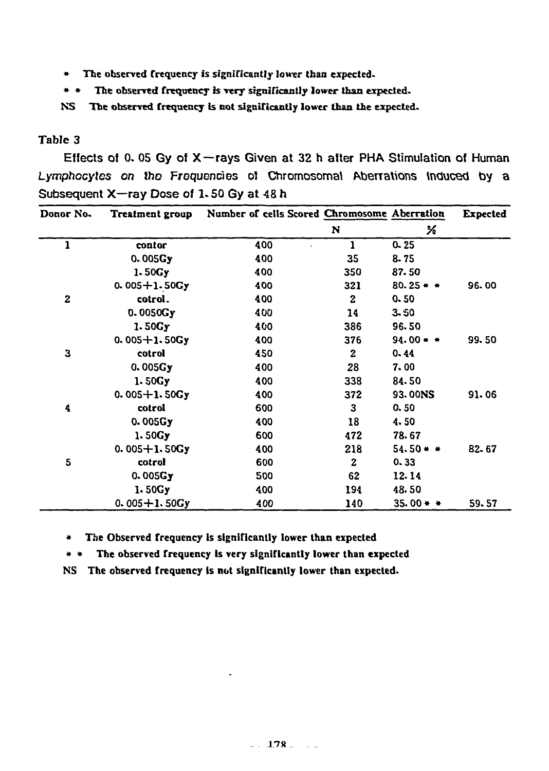- **\* The observed frequency is significantly lower than expected.**
- **\* \* The observed frequency is very significantly lower than expected.**
- **NS The observed frequency is not significantly lower than the expected.**

### **Table 3**

Effects of 0. 05 Gy of X—rays Given at 32 h after PHA Stimulation of Human *Lymphocytes on* the Frequencies of Chromosomal Aberrations Induced by a Subsequent X—ray Dose of 1.50 Gy at 48 h

| Donor No.        | <b>Treatment group</b> | Number of cells Scored Chromosome Aberration |                  |             | <b>Expected</b> |
|------------------|------------------------|----------------------------------------------|------------------|-------------|-----------------|
|                  |                        |                                              | N                | ℅           |                 |
| 1                | contor                 | 400                                          | 1                | $0 - 25$    |                 |
|                  | 0.005Gy                | 400                                          | 35               | $8 - 75$    |                 |
|                  | 1.50Gy                 | 400                                          | 350              | 87.50       |                 |
|                  | $0.005 + 1.50Gy$       | 400                                          | 321              | $80.25 +$ + | 96.00           |
| $\boldsymbol{2}$ | cotrol.                | 400                                          | $\mathbf{z}$     | 0.50        |                 |
|                  | 0.0050Gy               | 400                                          | 14               | 3.50        |                 |
|                  | 1.50Gy                 | 400                                          | 386              | 96.50       |                 |
|                  | $0.005 + 1.50Gy$       | 400                                          | 376              | $94.00 + +$ | 99.50           |
| 3                | cotrol                 | 450                                          | $\boldsymbol{2}$ | 0.44        |                 |
|                  | 0.005Gy                | 400                                          | 28               | 7.00        |                 |
|                  | 1.50Gy                 | 400                                          | 338              | 84.50       |                 |
|                  | $0.005 + 1.50Gy$       | 400                                          | 372              | 93.00NS     | 91.06           |
| 4                | cotrol                 | 600                                          | 3                | 0.50        |                 |
|                  | 0.005Gy                | 400                                          | 18               | 4.50        |                 |
|                  | 1.50Gy                 | 600                                          | 472              | 78.67       |                 |
|                  | $0.005 + 1.50Gy$       | 400                                          | 218              | $54.50**$   | 82.67           |
| 5                | cotrol                 | 600                                          | $\mathbf{z}$     | 0.33        |                 |
|                  | 0.005Gy                | 500                                          | 62               | 12.14       |                 |
|                  | 1.50Gy                 | 400                                          | 194              | 48.50       |                 |
|                  | $0.005 + 1.50$ Gy      | 400                                          | 140              | 35.00 * *   | 59.57           |

**\* The Observed frequency is significantly lower than expected** 

**\* \* The observed frequency Is very significantly lower than expected** 

**NS The observed frequency is not significantly lower than expected.**